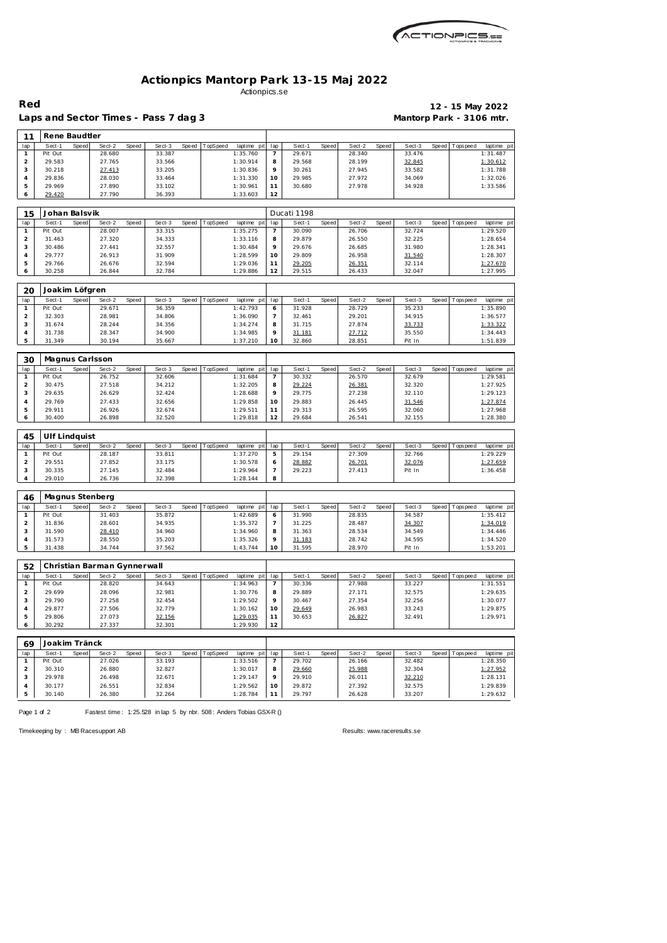| ACTIONPICS.sa |
|---------------|
|               |

## **Actionpics Mantorp Park 13-15 Maj 2022** Actionpics.se

Laps and Sector Times - Pass 7 dag 3 **Mantorp Park - 3106 mtr.** 

## **Red 12 - 15 May 2022**

| 11             | Rene Baudtler             |              |                             |       |                  |       |          |                      |                          |                  |       |                  |       |                  |              |                   |                         |
|----------------|---------------------------|--------------|-----------------------------|-------|------------------|-------|----------|----------------------|--------------------------|------------------|-------|------------------|-------|------------------|--------------|-------------------|-------------------------|
| lap            | Sect-1                    | Speed        | Sect-2                      | Speed | Sect-3           | Speed | TopSpeed | laptime pit          | lap                      | Sect-1           | Speed | Sect-2           | Speed | Sect-3           |              | Speed   Tops peed | laptime pi              |
| $\mathbf{1}$   | Pit Out                   |              | 28.680                      |       | 33.387           |       |          | 1:35.760             | 7                        | 29.671           |       | 28.340           |       | 33.476           |              |                   | 1:31.487                |
| $\mathbf 2$    | 29.583                    |              | 27.765                      |       | 33.566           |       |          | 1:30.914             | 8                        | 29.568           |       | 28.199           |       | 32.845           |              |                   | 1:30.612                |
| 3              | 30.218                    |              | 27.413                      |       | 33.205           |       |          | 1:30.836             | 9                        | 30.261           |       | 27.945           |       | 33.582           |              |                   | 1:31.788                |
| 4              | 29.836                    |              | 28.030                      |       | 33.464           |       |          | 1:31.330             | 10                       | 29.985           |       | 27.972           |       | 34.069           |              |                   | 1:32.026                |
| 5              | 29.969                    |              | 27.890                      |       | 33.102           |       |          | 1:30.961             | 11                       | 30.680           |       | 27.978           |       | 34.928           |              |                   | 1:33.586                |
| 6              | 29.420                    |              | 27.790                      |       | 36.393           |       |          | 1:33.603             | 12                       |                  |       |                  |       |                  |              |                   |                         |
|                |                           |              |                             |       |                  |       |          |                      |                          |                  |       |                  |       |                  |              |                   |                         |
| 15             | Johan Balsvik             |              |                             |       |                  |       |          |                      |                          | Ducati 1198      |       |                  |       |                  |              |                   |                         |
| lap            | Sect-1                    | Speed        | Sect-2                      | Speed | Sect-3           | Speed | TopSpeed | laptime pit          | lap                      | Sect-1           | Speed | Sect-2           | Speed | Sect-3           | Speed        | Tops peed         | laptime pi              |
| $\mathbf{1}$   | Pit Out                   |              | 28.007                      |       | 33.315           |       |          | 1:35.275             | $\overline{7}$           | 30.090           |       | 26.706           |       | 32.724           |              |                   | 1:29.520                |
| $\overline{c}$ | 31.463                    |              | 27.320                      |       | 34.333           |       |          | 1:33.116             | 8                        | 29.879           |       | 26.550           |       | 32.225           |              |                   | 1:28.654                |
| 3              | 30.486                    |              | 27.441                      |       | 32.557           |       |          | 1:30.484             | 9                        | 29.676           |       | 26.685           |       | 31.980           |              |                   | 1:28.341                |
| $\overline{4}$ | 29.777                    |              | 26.913                      |       | 31.909           |       |          | 1:28.599             | 10                       | 29.809           |       | 26.958           |       | 31.540           |              |                   | 1:28.307                |
| 5              | 29.766                    |              | 26.676                      |       | 32.594           |       |          | 1:29.036             | 11                       | 29.205           |       | 26.351           |       | 32.114           |              |                   | 1:27.670                |
| 6              | 30.258                    |              | 26.844                      |       | 32.784           |       |          | 1:29.886             | 12                       | 29.515           |       | 26.433           |       | 32.047           |              |                   | 1:27.995                |
|                |                           |              |                             |       |                  |       |          |                      |                          |                  |       |                  |       |                  |              |                   |                         |
| 20             | Joakim Löfgren            |              |                             |       |                  |       |          |                      |                          |                  |       |                  |       |                  |              |                   |                         |
| lap            | Sect-1                    | Speed        | Sect-2                      | Speed | Sect-3           | Speed | TopSpeed | laptime pit          | lap                      | Sect-1           | Speed | Sect-2           | Speed | Sect-3           | Speed        | Tops peed         | laptime pi              |
| $\mathbf{1}$   | Pit Out                   |              | 29.671                      |       | 36.359           |       |          | 1:42.793             | 6                        | 31.928           |       | 28.729           |       | 35.233           |              |                   | 1:35.890                |
| $\overline{2}$ | 32.303                    |              | 28.981                      |       | 34.806           |       |          | 1:36.090             | 7                        | 32.461           |       | 29.201           |       | 34.915           |              |                   | 1:36.577                |
| 3              | 31.674                    |              | 28.244                      |       | 34.356           |       |          | 1:34.274             | 8                        | 31.715           |       | 27.874           |       | 33.733           |              |                   | 1:33.322                |
| 4              | 31.738                    |              | 28.347                      |       | 34.900           |       |          | 1:34.985             | 9                        | 31.181           |       | 27.712           |       | 35.550           |              |                   | 1:34.443                |
| 5              | 31.349                    |              | 30.194                      |       | 35.667           |       |          | 1:37.210             | 10                       | 32.860           |       | 28.851           |       | Pit In           |              |                   | 1:51.839                |
|                |                           |              |                             |       |                  |       |          |                      |                          |                  |       |                  |       |                  |              |                   |                         |
| 30             | Magnus Carlsson           |              |                             |       |                  |       |          |                      |                          |                  |       |                  |       |                  |              |                   |                         |
| lap            | Sect-1                    | Speed        | Sect-2                      | Speed | Sect-3           | Speed | TopSpeed | laptime pit          | lap                      | Sect-1           | Speed | Sect-2           | Speed | Sect-3           |              | Speed Topspeed    | laptime pi              |
| $\mathbf{1}$   | Pit Out                   |              | 26.752                      |       | 32.606           |       |          | 1:31.684             | $\overline{\phantom{a}}$ | 30.332           |       | 26.570           |       | 32.679           |              |                   | 1:29.581                |
| $\overline{c}$ | 30.475                    |              | 27.518                      |       | 34.212           |       |          | 1:32.205             | 8                        | 29.224           |       | 26.381           |       | 32.320           |              |                   | 1:27.925                |
| 3              | 29.635                    |              | 26.629                      |       | 32.424           |       |          | 1:28.688             | 9                        | 29.775           |       | 27.238           |       | 32.110           |              |                   | 1:29.123                |
| 4              | 29.769                    |              | 27.433                      |       | 32.656           |       |          | 1:29.858             | 10                       | 29.883           |       | 26.445           |       | 31.546           |              |                   | 1:27.874                |
| 5              | 29.911                    |              | 26.926                      |       | 32.674           |       |          | 1:29.511             | 11                       | 29.313           |       | 26.595           |       | 32.060           |              |                   | 1:27.968                |
| 6              | 30.400                    |              | 26.898                      |       | 32.520           |       |          | 1:29.818             | 12                       | 29.684           |       | 26.541           |       | 32.155           |              |                   | 1:28.380                |
|                |                           |              |                             |       |                  |       |          |                      |                          |                  |       |                  |       |                  |              |                   |                         |
| 45             | Ulf Lindquist             |              |                             |       |                  |       |          |                      |                          |                  |       |                  |       |                  |              |                   |                         |
| lap            | Sect-1                    | Speed        | Sect-2                      | Speed | Sect-3           | Speed | TopSpeed | laptime pit          | lap                      | Sect-1           | Speed | Sect-2           | Speed | Sect-3           | Speed        | Tops peed         | laptime pi              |
| $\mathbf{1}$   | Pit Out                   |              | 28.187                      |       | 33.811           |       |          | 1:37.270             | 5                        | 29.154           |       | 27.309           |       | 32.766           |              |                   | 1:29.229                |
| $\overline{c}$ | 29.551                    |              | 27.852                      |       | 33.175           |       |          | 1:30.578             | 6                        | 28.882           |       | 26.701           |       | 32.076           |              |                   | 1:27.659                |
| 3              | 30.335                    |              | 27.145                      |       | 32.484           |       |          | 1:29.964             | $\overline{7}$           | 29.223           |       | 27.413           |       | Pit In           |              |                   | 1:36.458                |
| 4              | 29.010                    |              | 26.736                      |       | 32.398           |       |          | 1:28.144             | 8                        |                  |       |                  |       |                  |              |                   |                         |
|                |                           |              |                             |       |                  |       |          |                      |                          |                  |       |                  |       |                  |              |                   |                         |
| 46<br>lap      | Magnus Stenberg<br>Sect-1 | <b>Speed</b> | Sect-2                      | Speed | Sect-3           | Speed | TopSpeed | laptime pit          | lap                      | Sect-1           | Speed | Sect-2           | Speed | Sect-3           | <b>Speed</b> | T ops pee d       | laptime pit             |
| 1              | Pit Out                   |              | 31.403                      |       | 35.872           |       |          | 1:42.689             |                          | 31.990           |       | 28.835           |       | 34.587           |              |                   | 1:35.412                |
| $\overline{a}$ |                           |              | 28.601                      |       |                  |       |          |                      | 6<br>$\overline{7}$      |                  |       |                  |       |                  |              |                   | 1:34.019                |
|                | 31.836                    |              |                             |       | 34.935           |       |          | 1:35.372             |                          | 31.225           |       | 28.487           |       | 34.307           |              |                   |                         |
| 3<br>4         | 31.590<br>31.573          |              | 28.410<br>28.550            |       | 34.960<br>35.203 |       |          | 1:34.960<br>1:35.326 | 8<br>9                   | 31.363           |       | 28.534<br>28.742 |       | 34.549<br>34.595 |              |                   | 1:34.446<br>1:34.520    |
| 5              | 31.438                    |              | 34.744                      |       | 37.562           |       |          | 1:43.744             | 10                       | 31.183<br>31.595 |       | 28.970           |       | Pit In           |              |                   | 1:53.201                |
|                |                           |              |                             |       |                  |       |          |                      |                          |                  |       |                  |       |                  |              |                   |                         |
| 52             |                           |              | Christian Barman Gynnerwall |       |                  |       |          |                      |                          |                  |       |                  |       |                  |              |                   |                         |
| lap            | Sect-1                    | Speed        | Sect-2                      | Speed | Sect-3           | Speed | TopSpeed | laptime pit          | lap                      | Sect-1           | Speed | Sect-2           | Speed | Sect-3           |              | Speed Topspeed    | laptime pit             |
| $\mathbf{1}$   | Pit Out                   |              | 28.820                      |       | 34.643           |       |          | 1:34.963             | 7                        | 30.336           |       | 27.988           |       | 33.227           |              |                   | 1:31.551                |
| $\overline{c}$ | 29.699                    |              | 28.096                      |       | 32.981           |       |          | 1:30.776             | 8                        | 29.889           |       | 27.171           |       | 32.575           |              |                   | 1:29.635                |
|                |                           |              |                             |       | 32.454           |       |          | 1:29.502             | 9                        | 30.467           |       | 27.354           |       | 32.256           |              |                   | 1:30.077                |
|                |                           |              |                             |       |                  |       |          |                      |                          |                  |       |                  |       |                  |              |                   |                         |
| 3              | 29.790                    |              | 27.258                      |       |                  |       |          |                      |                          |                  |       |                  |       |                  |              |                   |                         |
| 4              | 29.877                    |              | 27.506                      |       | 32.779           |       |          | 1:30.162             | 10                       | 29.649           |       | 26.983           |       | 33.243           |              |                   | 1:29.875                |
| 5              | 29.806                    |              | 27.073                      |       | 32.156           |       |          | 1:29.035             | 11                       | 30.653           |       | 26.827           |       | 32.491           |              |                   | 1:29.971                |
| 6              | 30.292                    |              | 27.337                      |       | 32.301           |       |          | 1:29.930             | 12                       |                  |       |                  |       |                  |              |                   |                         |
| 69             | Joakim Tränck             |              |                             |       |                  |       |          |                      |                          |                  |       |                  |       |                  |              |                   |                         |
| lap            | Sect-1                    | Speed        | Sect-2                      | Speed | Sect-3           | Speed | TopSpeed | laptime pit          | lap                      | Sect-1           | Speed | Sect-2           | Speed | Sect-3           | Speed        | Tops peed         |                         |
| $\mathbf{1}$   | Pit Out                   |              | 27.026                      |       | 33.193           |       |          | 1:33.516             | 7                        | 29.702           |       | 26.166           |       | 32.482           |              |                   | laptime pit<br>1:28.350 |
| $\overline{2}$ | 30.310                    |              | 26.880                      |       | 32.827           |       |          | 1:30.017             | 8                        | 29.660           |       | 25.988           |       | 32.304           |              |                   | 1:27.952                |
| 3              | 29.978                    |              | 26.498                      |       | 32.671           |       |          | 1:29.147             | 9                        | 29.910           |       | 26.011           |       | 32.210           |              |                   | 1:28.131                |
| 4              | 30.177                    |              | 26.551                      |       | 32.834           |       |          | 1:29.562             | 10                       | 29.872           |       | 27.392           |       | 32.575           |              |                   | 1:29.839                |

Page 1 of 2 Fastest time: 1:25.528 in lap 5 by nbr. 508: Anders Tobias GSX-R ()

Timekeeping by : MB Racesupport AB Results:<www.raceresults.se>